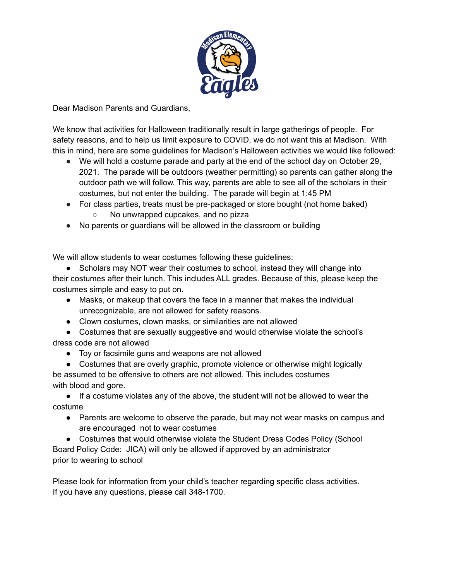

Dear Madison Parents and Guardians,

We know that activities for Halloween traditionally result in large gatherings of people. For safety reasons, and to help us limit exposure to COVID, we do not want this at Madison. With this in mind, here are some guidelines for Madison's Halloween activities we would like followed:

- We will hold a costume parade and party at the end of the school day on October 29, 2021. The parade will be outdoors (weather permitting) so parents can gather along the outdoor path we will follow. This way, parents are able to see all of the scholars in their costumes, but not enter the building. The parade will begin at 1:45 PM
- For class parties, treats must be pre-packaged or store bought (not home baked) No unwrapped cupcakes, and no pizza
- No parents or guardians will be allowed in the classroom or building

We will allow students to wear costumes following these guidelines:

• Scholars may NOT wear their costumes to school, instead they will change into their costumes after their lunch. This includes ALL grades. Because of this, please keep the costumes simple and easy to put on.

- Masks, or makeup that covers the face in a manner that makes the individual unrecognizable, are not allowed for safety reasons.
- Clown costumes, clown masks, or similarities are not allowed
- Costumes that are sexually suggestive and would otherwise violate the school's dress code are not allowed
	- Toy or facsimile guns and weapons are not allowed

● Costumes that are overly graphic, promote violence or otherwise might logically be assumed to be offensive to others are not allowed. This includes costumes with blood and gore.

● If a costume violates any of the above, the student will not be allowed to wear the costume

• Parents are welcome to observe the parade, but may not wear masks on campus and are encouraged not to wear costumes

• Costumes that would otherwise violate the Student Dress Codes Policy (School Board Policy Code: JICA) will only be allowed if approved by an administrator prior to wearing to school

Please look for information from your child's teacher regarding specific class activities. If you have any questions, please call 348-1700.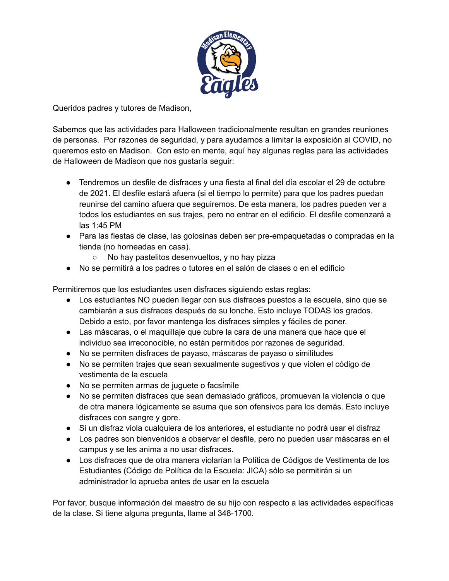

Queridos padres y tutores de Madison,

Sabemos que las actividades para Halloween tradicionalmente resultan en grandes reuniones de personas. Por razones de seguridad, y para ayudarnos a limitar la exposición al COVID, no queremos esto en Madison. Con esto en mente, aquí hay algunas reglas para las actividades de Halloween de Madison que nos gustaría seguir:

- Tendremos un desfile de disfraces y una fiesta al final del día escolar el 29 de octubre de 2021. El desfile estará afuera (si el tiempo lo permite) para que los padres puedan reunirse del camino afuera que seguiremos. De esta manera, los padres pueden ver a todos los estudiantes en sus trajes, pero no entrar en el edificio. El desfile comenzará a las 1:45 PM
- Para las fiestas de clase, las golosinas deben ser pre-empaquetadas o compradas en la tienda (no horneadas en casa).
	- No hay pastelitos desenvueltos, y no hay pizza
- No se permitirá a los padres o tutores en el salón de clases o en el edificio

Permitiremos que los estudiantes usen disfraces siguiendo estas reglas:

- Los estudiantes NO pueden llegar con sus disfraces puestos a la escuela, sino que se cambiarán a sus disfraces después de su lonche. Esto incluye TODAS los grados. Debido a esto, por favor mantenga los disfraces simples y fáciles de poner.
- Las máscaras, o el maquillaje que cubre la cara de una manera que hace que el individuo sea irreconocible, no están permitidos por razones de seguridad.
- No se permiten disfraces de payaso, máscaras de payaso o similitudes
- No se permiten trajes que sean sexualmente sugestivos y que violen el código de vestimenta de la escuela
- No se permiten armas de juguete o facsímile
- No se permiten disfraces que sean demasiado gráficos, promuevan la violencia o que de otra manera lógicamente se asuma que son ofensivos para los demás. Esto incluye disfraces con sangre y gore.
- Si un disfraz viola cualquiera de los anteriores, el estudiante no podrá usar el disfraz
- Los padres son bienvenidos a observar el desfile, pero no pueden usar máscaras en el campus y se les anima a no usar disfraces.
- Los disfraces que de otra manera violarían la Política de Códigos de Vestimenta de los Estudiantes (Código de Política de la Escuela: JICA) sólo se permitirán si un administrador lo aprueba antes de usar en la escuela

Por favor, busque información del maestro de su hijo con respecto a las actividades específicas de la clase. Si tiene alguna pregunta, llame al 348-1700.